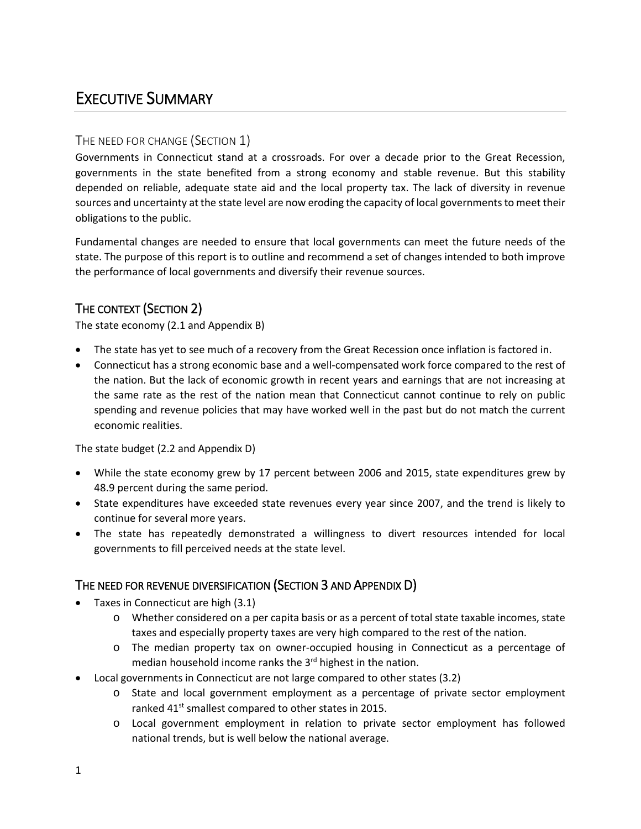# EXECUTIVE SUMMARY

# THE NEED FOR CHANGE (SECTION 1)

Governments in Connecticut stand at a crossroads. For over a decade prior to the Great Recession, governments in the state benefited from a strong economy and stable revenue. But this stability depended on reliable, adequate state aid and the local property tax. The lack of diversity in revenue sources and uncertainty at the state level are now eroding the capacity of local governments to meet their obligations to the public.

Fundamental changes are needed to ensure that local governments can meet the future needs of the state. The purpose of this report is to outline and recommend a set of changes intended to both improve the performance of local governments and diversify their revenue sources.

# THE CONTEXT (SECTION 2)

The state economy (2.1 and Appendix B)

- The state has yet to see much of a recovery from the Great Recession once inflation is factored in.
- Connecticut has a strong economic base and a well-compensated work force compared to the rest of the nation. But the lack of economic growth in recent years and earnings that are not increasing at the same rate as the rest of the nation mean that Connecticut cannot continue to rely on public spending and revenue policies that may have worked well in the past but do not match the current economic realities.

The state budget (2.2 and Appendix D)

- While the state economy grew by 17 percent between 2006 and 2015, state expenditures grew by 48.9 percent during the same period.
- State expenditures have exceeded state revenues every year since 2007, and the trend is likely to continue for several more years.
- The state has repeatedly demonstrated a willingness to divert resources intended for local governments to fill perceived needs at the state level.

# THE NEED FOR REVENUE DIVERSIFICATION (SECTION 3 AND APPENDIX D)

- Taxes in Connecticut are high (3.1)
	- o Whether considered on a per capita basis or as a percent of total state taxable incomes, state taxes and especially property taxes are very high compared to the rest of the nation.
	- o The median property tax on owner-occupied housing in Connecticut as a percentage of median household income ranks the 3<sup>rd</sup> highest in the nation.
- Local governments in Connecticut are not large compared to other states (3.2)
	- o State and local government employment as a percentage of private sector employment ranked 41<sup>st</sup> smallest compared to other states in 2015.
	- o Local government employment in relation to private sector employment has followed national trends, but is well below the national average.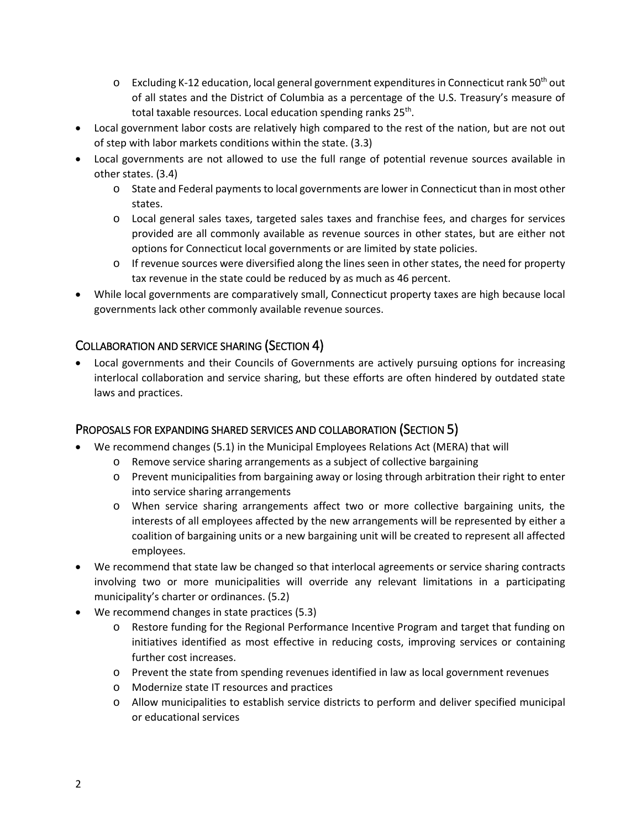- $\circ$  Excluding K-12 education, local general government expenditures in Connecticut rank 50<sup>th</sup> out of all states and the District of Columbia as a percentage of the U.S. Treasury's measure of total taxable resources. Local education spending ranks 25<sup>th</sup>.
- Local government labor costs are relatively high compared to the rest of the nation, but are not out of step with labor markets conditions within the state. (3.3)
- Local governments are not allowed to use the full range of potential revenue sources available in other states. (3.4)
	- o State and Federal payments to local governments are lower in Connecticut than in most other states.
	- o Local general sales taxes, targeted sales taxes and franchise fees, and charges for services provided are all commonly available as revenue sources in other states, but are either not options for Connecticut local governments or are limited by state policies.
	- o If revenue sources were diversified along the lines seen in other states, the need for property tax revenue in the state could be reduced by as much as 46 percent.
- While local governments are comparatively small, Connecticut property taxes are high because local governments lack other commonly available revenue sources.

# COLLABORATION AND SERVICE SHARING (SECTION 4)

• Local governments and their Councils of Governments are actively pursuing options for increasing interlocal collaboration and service sharing, but these efforts are often hindered by outdated state laws and practices.

#### PROPOSALS FOR EXPANDING SHARED SERVICES AND COLLABORATION (SECTION 5)

- We recommend changes (5.1) in the Municipal Employees Relations Act (MERA) that will
	- o Remove service sharing arrangements as a subject of collective bargaining
	- o Prevent municipalities from bargaining away or losing through arbitration their right to enter into service sharing arrangements
	- o When service sharing arrangements affect two or more collective bargaining units, the interests of all employees affected by the new arrangements will be represented by either a coalition of bargaining units or a new bargaining unit will be created to represent all affected employees.
- We recommend that state law be changed so that interlocal agreements or service sharing contracts involving two or more municipalities will override any relevant limitations in a participating municipality's charter or ordinances. (5.2)
- We recommend changes in state practices (5.3)
	- o Restore funding for the Regional Performance Incentive Program and target that funding on initiatives identified as most effective in reducing costs, improving services or containing further cost increases.
	- o Prevent the state from spending revenues identified in law as local government revenues
	- o Modernize state IT resources and practices
	- o Allow municipalities to establish service districts to perform and deliver specified municipal or educational services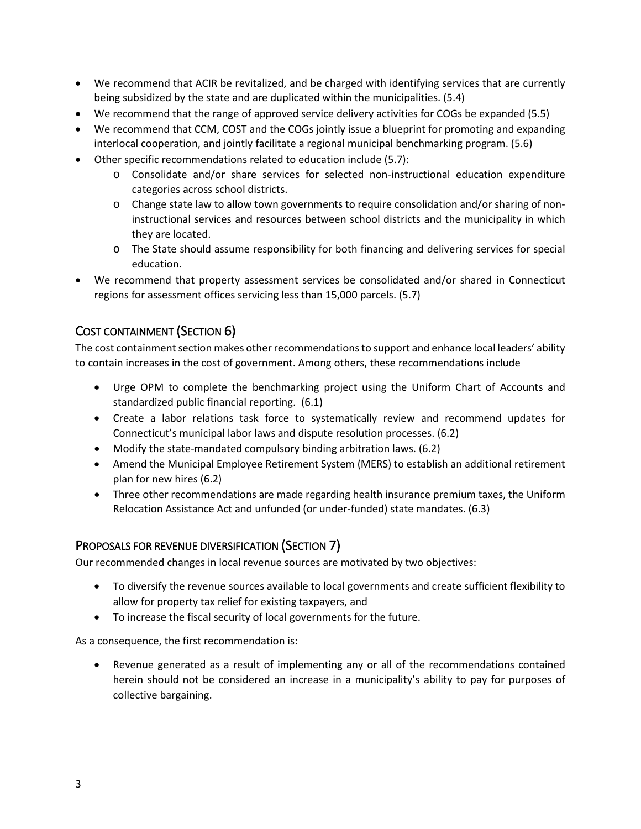- We recommend that ACIR be revitalized, and be charged with identifying services that are currently being subsidized by the state and are duplicated within the municipalities. (5.4)
- We recommend that the range of approved service delivery activities for COGs be expanded (5.5)
- We recommend that CCM, COST and the COGs jointly issue a blueprint for promoting and expanding interlocal cooperation, and jointly facilitate a regional municipal benchmarking program. (5.6)
- Other specific recommendations related to education include (5.7):
	- o Consolidate and/or share services for selected non-instructional education expenditure categories across school districts.
	- o Change state law to allow town governments to require consolidation and/or sharing of noninstructional services and resources between school districts and the municipality in which they are located.
	- o The State should assume responsibility for both financing and delivering services for special education.
- We recommend that property assessment services be consolidated and/or shared in Connecticut regions for assessment offices servicing less than 15,000 parcels. (5.7)

# COST CONTAINMENT (SECTION 6)

The cost containment section makes other recommendations to support and enhance local leaders' ability to contain increases in the cost of government. Among others, these recommendations include

- Urge OPM to complete the benchmarking project using the Uniform Chart of Accounts and standardized public financial reporting. (6.1)
- Create a labor relations task force to systematically review and recommend updates for Connecticut's municipal labor laws and dispute resolution processes. (6.2)
- Modify the state-mandated compulsory binding arbitration laws. (6.2)
- Amend the Municipal Employee Retirement System (MERS) to establish an additional retirement plan for new hires (6.2)
- Three other recommendations are made regarding health insurance premium taxes, the Uniform Relocation Assistance Act and unfunded (or under-funded) state mandates. (6.3)

# PROPOSALS FOR REVENUE DIVERSIFICATION (SECTION 7)

Our recommended changes in local revenue sources are motivated by two objectives:

- To diversify the revenue sources available to local governments and create sufficient flexibility to allow for property tax relief for existing taxpayers, and
- To increase the fiscal security of local governments for the future.

As a consequence, the first recommendation is:

• Revenue generated as a result of implementing any or all of the recommendations contained herein should not be considered an increase in a municipality's ability to pay for purposes of collective bargaining.